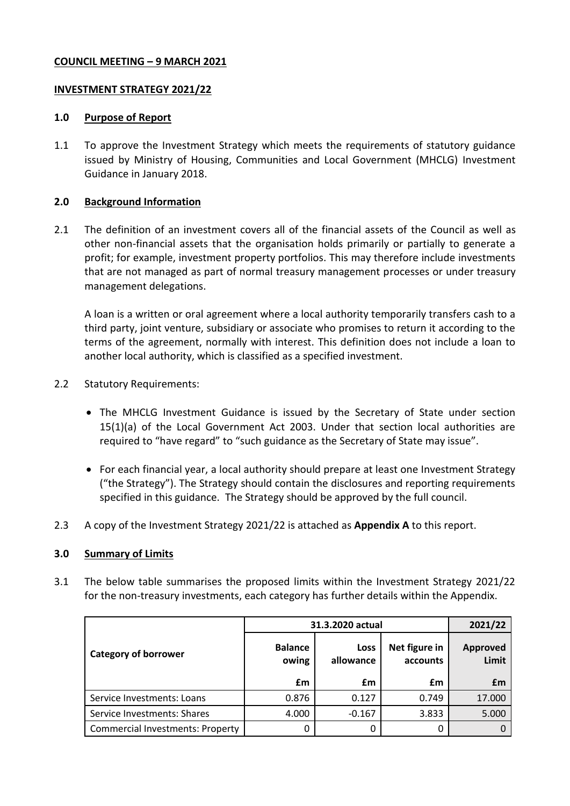# **COUNCIL MEETING – 9 MARCH 2021**

## **INVESTMENT STRATEGY 2021/22**

### **1.0 Purpose of Report**

1.1 To approve the Investment Strategy which meets the requirements of statutory guidance issued by Ministry of Housing, Communities and Local Government (MHCLG) Investment Guidance in January 2018.

## **2.0 Background Information**

2.1 The definition of an investment covers all of the financial assets of the Council as well as other non-financial assets that the organisation holds primarily or partially to generate a profit; for example, investment property portfolios. This may therefore include investments that are not managed as part of normal treasury management processes or under treasury management delegations.

A loan is a written or oral agreement where a local authority temporarily transfers cash to a third party, joint venture, subsidiary or associate who promises to return it according to the terms of the agreement, normally with interest. This definition does not include a loan to another local authority, which is classified as a specified investment.

- 2.2 Statutory Requirements:
	- The MHCLG Investment Guidance is issued by the Secretary of State under section 15(1)(a) of the Local Government Act 2003. Under that section local authorities are required to "have regard" to "such guidance as the Secretary of State may issue".
	- For each financial year, a local authority should prepare at least one Investment Strategy ("the Strategy"). The Strategy should contain the disclosures and reporting requirements specified in this guidance. The Strategy should be approved by the full council.
- 2.3 A copy of the Investment Strategy 2021/22 is attached as **Appendix A** to this report.

#### **3.0 Summary of Limits**

3.1 The below table summarises the proposed limits within the Investment Strategy 2021/22 for the non-treasury investments, each category has further details within the Appendix.

|                                         | 31.3.2020 actual        |                   |                           | 2021/22                  |
|-----------------------------------------|-------------------------|-------------------|---------------------------|--------------------------|
| <b>Category of borrower</b>             | <b>Balance</b><br>owing | Loss<br>allowance | Net figure in<br>accounts | <b>Approved</b><br>Limit |
|                                         | £m                      | £m                | £m                        | £m                       |
| Service Investments: Loans              | 0.876                   | 0.127             | 0.749                     | 17.000                   |
| Service Investments: Shares             | 4.000                   | $-0.167$          | 3.833                     | 5.000                    |
| <b>Commercial Investments: Property</b> | 0                       | 0                 | 0                         |                          |